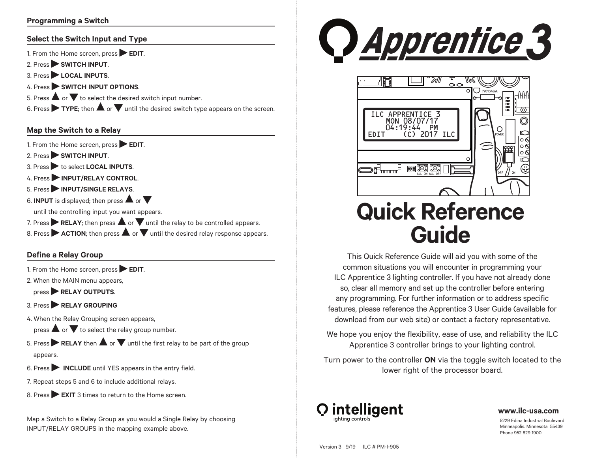## **Programming a Switch**

#### **Select the Switch Input and Type**

1. From the Home screen, press **EDIT**.

- 2. Press **SWITCH INPUT**.
- 3. Press **LOCAL INPUTS**.
- 4. Press **SWITCH INPUT OPTIONS**.
- 4. Press<br>5. Press **△** or ▼ to select the desired switch input number.

b. Press ▲ or ▼ to select the desired switch input number.<br>6. Press ▶ TYPE; then ▲ or ▼ until the desired switch type appears on the screen.

### **Map the Switch to a Relay**

1. From the Home screen, press **EDIT**.

- 2. Press **SWITCH INPUT**.
- 3. Press to select **LOCAL INPUTS**.
- 4. Press **INPUT/RELAY CONTROL**.
- 5. Press **INPUT/SINGLE RELAYS**.
- **6. Press → INPUT/SINGLE RELAYS.**<br>6. **INPUT** is displayed; then press ▲ or ▼

until the controlling input you want appears.

- until the controlling input you want appears.<br>7. Press ▶ RELAY; then press ▲ or ▼ until the relay to be controlled appears.
- *I*. Press **ACTION**; then press **A** or **V** until the relay to be controlled appears.<br>8. Press **ACTION**; then press **A** or **V** until the desired relay response appears.

## **Define a Relay Group**

- 1. From the Home screen, press **EDIT**.
- 2. When the MAIN menu appears,

press **RELAY OUTPUTS**.

- 3. Press **RELAY GROUPING**
- 4. When the Relay Grouping screen appears,

when the <del>R</del>elay Grouping screen appears,<br>press **A** or  $\blacktriangledown$  to select the relay group number.

- 5. Press **FRELAY** then **A** or **V** until the first relay to be part of the group appears.
- 6. Press **INCLUDE** until YES appears in the entry field.
- 7. Repeat steps 5 and 6 to include additional relays.
- 8. Press EXIT 3 times to return to the Home screen.

Map a Switch to a Relay Group as you would a Single Relay by choosing INPUT/RELAY GROUPS in the mapping example above.





# **Quick Reference Guide**

This Quick Reference Guide will aid you with some of the common situations you will encounter in programming your ILC Apprentice 3 lighting controller. If you have not already done so, clear all memory and set up the controller before entering any programming. For further information or to address specific features, please reference the Apprentice 3 User Guide (available for download from our web site) or contact a factory representative.

We hope you enjoy the flexibility, ease of use, and reliability the ILC Apprentice 3 controller brings to your lighting control.

Turn power to the controller **ON** via the toggle switch located to the lower right of the processor board.



### **www.ilc-usa.com**

5229 Edina Industrial Boulevard Minneapolis. Minnesota 55439 Phone 952 829 1900